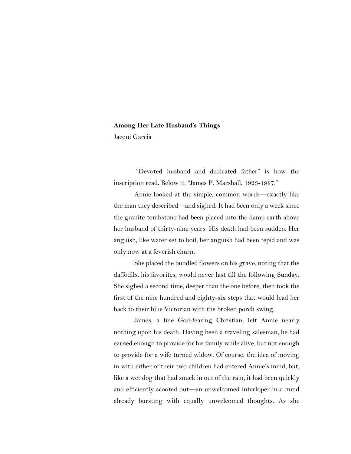## **Among Her Late Husband's Things**

Jacqui Garcia

"Devoted husband and dedicated father" is how the inscription read. Below it, "James P. Marshall, 1923-1987."

Annie looked at the simple, common words—exactly like the man they described—and sighed. It had been only a week since the granite tombstone had been placed into the damp earth above her husband of thirty-nine years. His death had been sudden. Her anguish, like water set to boil, her anguish had been tepid and was only now at a feverish churn.

She placed the bundled flowers on his grave, noting that the daffodils, his favorites, would never last till the following Sunday. She sighed a second time, deeper than the one before, then took the first of the nine hundred and eighty-six steps that would lead her back to their blue Victorian with the broken porch swing.

James, a fine God-fearing Christian, left Annie nearly nothing upon his death. Having been a traveling salesman, he had earned enough to provide for his family while alive, but not enough to provide for a wife turned widow. Of course, the idea of moving in with either of their two children had entered Annie's mind, but, like a wet dog that had snuck in out of the rain, it had been quickly and efficiently scooted out—an unwelcomed interloper in a mind already bursting with equally unwelcomed thoughts. As she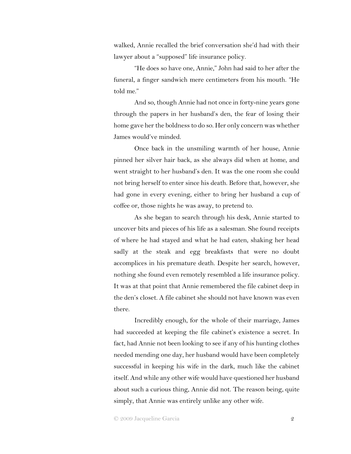walked, Annie recalled the brief conversation she'd had with their lawyer about a "supposed" life insurance policy.

"He does so have one, Annie," John had said to her after the funeral, a finger sandwich mere centimeters from his mouth. "He told me."

And so, though Annie had not once in forty-nine years gone through the papers in her husband's den, the fear of losing their home gave her the boldness to do so. Her only concern was whether James would've minded.

Once back in the unsmiling warmth of her house, Annie pinned her silver hair back, as she always did when at home, and went straight to her husband's den. It was the one room she could not bring herself to enter since his death. Before that, however, she had gone in every evening, either to bring her husband a cup of coffee or, those nights he was away, to pretend to.

As she began to search through his desk, Annie started to uncover bits and pieces of his life as a salesman. She found receipts of where he had stayed and what he had eaten, shaking her head sadly at the steak and egg breakfasts that were no doubt accomplices in his premature death. Despite her search, however, nothing she found even remotely resembled a life insurance policy. It was at that point that Annie remembered the file cabinet deep in the den's closet. A file cabinet she should not have known was even there.

Incredibly enough, for the whole of their marriage, James had succeeded at keeping the file cabinet's existence a secret. In fact, had Annie not been looking to see if any of his hunting clothes needed mending one day, her husband would have been completely successful in keeping his wife in the dark, much like the cabinet itself. And while any other wife would have questioned her husband about such a curious thing, Annie did not. The reason being, quite simply, that Annie was entirely unlike any other wife.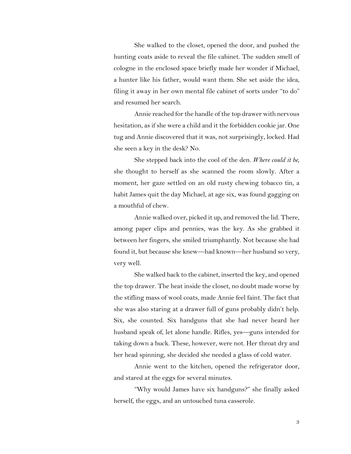She walked to the closet, opened the door, and pushed the hunting coats aside to reveal the file cabinet. The sudden smell of cologne in the enclosed space briefly made her wonder if Michael, a hunter like his father, would want them. She set aside the idea, filing it away in her own mental file cabinet of sorts under "to do" and resumed her search.

Annie reached for the handle of the top drawer with nervous hesitation, as if she were a child and it the forbidden cookie jar. One tug and Annie discovered that it was, not surprisingly, locked. Had she seen a key in the desk? No.

She stepped back into the cool of the den. *Where could it be*, she thought to herself as she scanned the room slowly. After a moment, her gaze settled on an old rusty chewing tobacco tin, a habit James quit the day Michael, at age six, was found gagging on a mouthful of chew.

Annie walked over, picked it up, and removed the lid. There, among paper clips and pennies, was the key. As she grabbed it between her fingers, she smiled triumphantly. Not because she had found it, but because she knew—had known—her husband so very, very well.

She walked back to the cabinet, inserted the key, and opened the top drawer. The heat inside the closet, no doubt made worse by the stifling mass of wool coats, made Annie feel faint. The fact that she was also staring at a drawer full of guns probably didn't help. Six, she counted. Six handguns that she had never heard her husband speak of, let alone handle. Rifles, yes—guns intended for taking down a buck. These, however, were not. Her throat dry and her head spinning, she decided she needed a glass of cold water.

Annie went to the kitchen, opened the refrigerator door, and stared at the eggs for several minutes.

"Why would James have six handguns?" she finally asked herself, the eggs, and an untouched tuna casserole.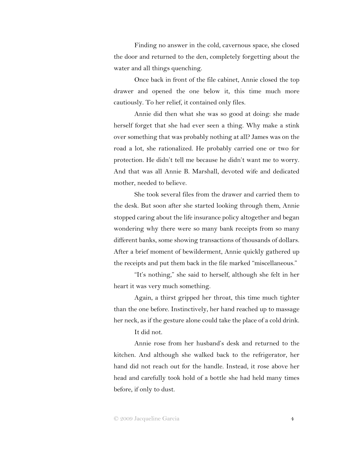Finding no answer in the cold, cavernous space, she closed the door and returned to the den, completely forgetting about the water and all things quenching.

Once back in front of the file cabinet, Annie closed the top drawer and opened the one below it, this time much more cautiously. To her relief, it contained only files.

Annie did then what she was so good at doing: she made herself forget that she had ever seen a thing. Why make a stink over something that was probably nothing at all? James was on the road a lot, she rationalized. He probably carried one or two for protection. He didn't tell me because he didn't want me to worry. And that was all Annie B. Marshall, devoted wife and dedicated mother, needed to believe.

She took several files from the drawer and carried them to the desk. But soon after she started looking through them, Annie stopped caring about the life insurance policy altogether and began wondering why there were so many bank receipts from so many different banks, some showing transactions of thousands of dollars. After a brief moment of bewilderment, Annie quickly gathered up the receipts and put them back in the file marked "miscellaneous."

"It's nothing," she said to herself, although she felt in her heart it was very much something.

Again, a thirst gripped her throat, this time much tighter than the one before. Instinctively, her hand reached up to massage her neck, as if the gesture alone could take the place of a cold drink.

It did not.

Annie rose from her husband's desk and returned to the kitchen. And although she walked back to the refrigerator, her hand did not reach out for the handle. Instead, it rose above her head and carefully took hold of a bottle she had held many times before, if only to dust.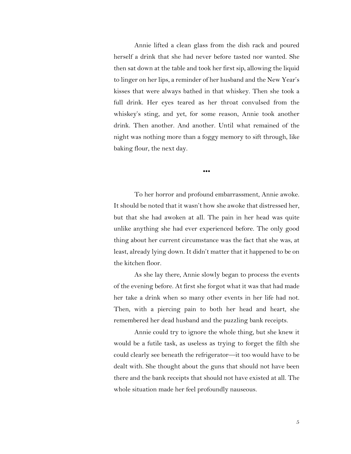Annie lifted a clean glass from the dish rack and poured herself a drink that she had never before tasted nor wanted. She then sat down at the table and took her first sip, allowing the liquid to linger on her lips, a reminder of her husband and the New Year's kisses that were always bathed in that whiskey. Then she took a full drink. Her eyes teared as her throat convulsed from the whiskey's sting, and yet, for some reason, Annie took another drink. Then another. And another. Until what remained of the night was nothing more than a foggy memory to sift through, like baking flour, the next day.

•••

To her horror and profound embarrassment, Annie awoke. It should be noted that it wasn't how she awoke that distressed her, but that she had awoken at all. The pain in her head was quite unlike anything she had ever experienced before. The only good thing about her current circumstance was the fact that she was, at least, already lying down. It didn't matter that it happened to be on the kitchen floor.

As she lay there, Annie slowly began to process the events of the evening before. At first she forgot what it was that had made her take a drink when so many other events in her life had not. Then, with a piercing pain to both her head and heart, she remembered her dead husband and the puzzling bank receipts.

Annie could try to ignore the whole thing, but she knew it would be a futile task, as useless as trying to forget the filth she could clearly see beneath the refrigerator—it too would have to be dealt with. She thought about the guns that should not have been there and the bank receipts that should not have existed at all. The whole situation made her feel profoundly nauseous.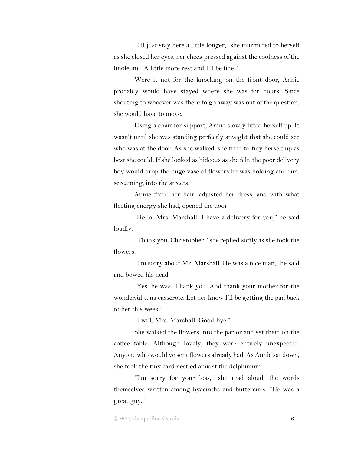"I'll just stay here a little longer," she murmured to herself as she closed her eyes, her cheek pressed against the coolness of the linoleum. "A little more rest and I'll be fine."

Were it not for the knocking on the front door, Annie probably would have stayed where she was for hours. Since shouting to whoever was there to go away was out of the question, she would have to move.

Using a chair for support, Annie slowly lifted herself up. It wasn't until she was standing perfectly straight that she could see who was at the door. As she walked, she tried to tidy herself up as best she could. If she looked as hideous as she felt, the poor delivery boy would drop the huge vase of flowers he was holding and run, screaming, into the streets.

Annie fixed her hair, adjusted her dress, and with what fleeting energy she had, opened the door.

"Hello, Mrs. Marshall. I have a delivery for you," he said loudly.

"Thank you, Christopher," she replied softly as she took the flowers.

"I'm sorry about Mr. Marshall. He was a nice man," he said and bowed his head.

"Yes, he was. Thank you. And thank your mother for the wonderful tuna casserole. Let her know I'll be getting the pan back to her this week."

"I will, Mrs. Marshall. Good-bye."

She walked the flowers into the parlor and set them on the coffee table. Although lovely, they were entirely unexpected. Anyone who would've sent flowers already had. As Annie sat down, she took the tiny card nestled amidst the delphinium.

"I'm sorry for your loss," she read aloud, the words themselves written among hyacinths and buttercups. "He was a great guy."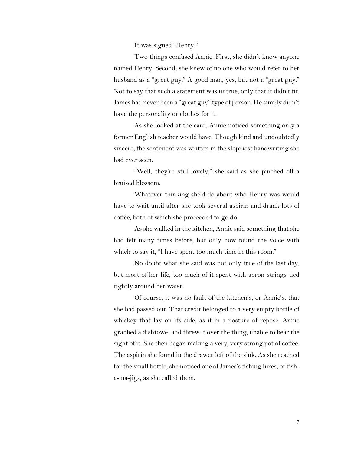It was signed "Henry."

Two things confused Annie. First, she didn't know anyone named Henry. Second, she knew of no one who would refer to her husband as a "great guy." A good man, yes, but not a "great guy." Not to say that such a statement was untrue, only that it didn't fit. James had never been a "great guy" type of person. He simply didn't have the personality or clothes for it.

As she looked at the card, Annie noticed something only a former English teacher would have. Though kind and undoubtedly sincere, the sentiment was written in the sloppiest handwriting she had ever seen.

"Well, they're still lovely," she said as she pinched off a bruised blossom.

Whatever thinking she'd do about who Henry was would have to wait until after she took several aspirin and drank lots of coffee, both of which she proceeded to go do.

As she walked in the kitchen, Annie said something that she had felt many times before, but only now found the voice with which to say it, "I have spent too much time in this room."

No doubt what she said was not only true of the last day, but most of her life, too much of it spent with apron strings tied tightly around her waist.

Of course, it was no fault of the kitchen's, or Annie's, that she had passed out. That credit belonged to a very empty bottle of whiskey that lay on its side, as if in a posture of repose. Annie grabbed a dishtowel and threw it over the thing, unable to bear the sight of it. She then began making a very, very strong pot of coffee. The aspirin she found in the drawer left of the sink. As she reached for the small bottle, she noticed one of James's fishing lures, or fisha-ma-jigs, as she called them.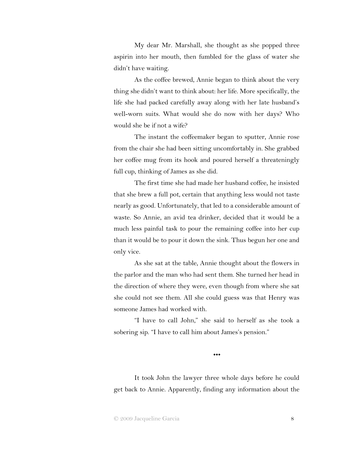My dear Mr. Marshall, she thought as she popped three aspirin into her mouth, then fumbled for the glass of water she didn't have waiting.

As the coffee brewed, Annie began to think about the very thing she didn't want to think about: her life. More specifically, the life she had packed carefully away along with her late husband's well-worn suits. What would she do now with her days? Who would she be if not a wife?

The instant the coffeemaker began to sputter, Annie rose from the chair she had been sitting uncomfortably in. She grabbed her coffee mug from its hook and poured herself a threateningly full cup, thinking of James as she did.

The first time she had made her husband coffee, he insisted that she brew a full pot, certain that anything less would not taste nearly as good. Unfortunately, that led to a considerable amount of waste. So Annie, an avid tea drinker, decided that it would be a much less painful task to pour the remaining coffee into her cup than it would be to pour it down the sink. Thus begun her one and only vice.

As she sat at the table, Annie thought about the flowers in the parlor and the man who had sent them. She turned her head in the direction of where they were, even though from where she sat she could not see them. All she could guess was that Henry was someone James had worked with.

"I have to call John," she said to herself as she took a sobering sip. "I have to call him about James's pension."

•••

It took John the lawyer three whole days before he could get back to Annie. Apparently, finding any information about the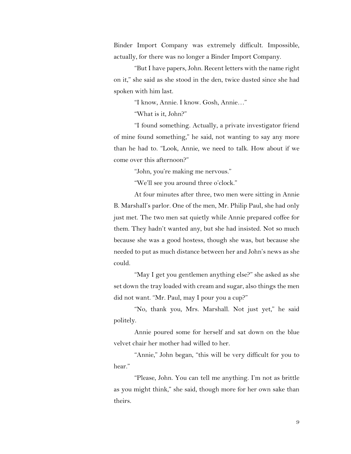Binder Import Company was extremely difficult. Impossible, actually, for there was no longer a Binder Import Company.

"But I have papers, John. Recent letters with the name right on it," she said as she stood in the den, twice dusted since she had spoken with him last.

"I know, Annie. I know. Gosh, Annie…"

"What is it, John?"

"I found something. Actually, a private investigator friend of mine found something," he said, not wanting to say any more than he had to. "Look, Annie, we need to talk. How about if we come over this afternoon?"

"John, you're making me nervous."

"We'll see you around three o'clock."

At four minutes after three, two men were sitting in Annie B. Marshall's parlor. One of the men, Mr. Philip Paul, she had only just met. The two men sat quietly while Annie prepared coffee for them. They hadn't wanted any, but she had insisted. Not so much because she was a good hostess, though she was, but because she needed to put as much distance between her and John's news as she could.

"May I get you gentlemen anything else?" she asked as she set down the tray loaded with cream and sugar, also things the men did not want. "Mr. Paul, may I pour you a cup?"

"No, thank you, Mrs. Marshall. Not just yet," he said politely.

Annie poured some for herself and sat down on the blue velvet chair her mother had willed to her.

"Annie," John began, "this will be very difficult for you to hear."

"Please, John. You can tell me anything. I'm not as brittle as you might think," she said, though more for her own sake than theirs.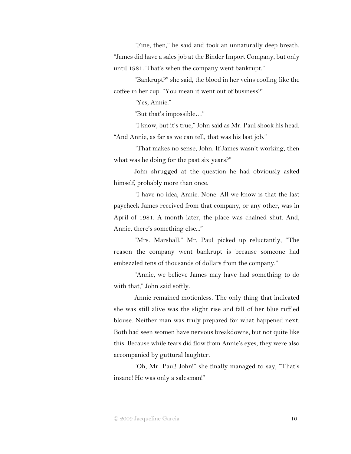"Fine, then," he said and took an unnaturally deep breath. "James did have a sales job at the Binder Import Company, but only until 1981. That's when the company went bankrupt."

"Bankrupt?" she said, the blood in her veins cooling like the coffee in her cup. "You mean it went out of business?"

"Yes, Annie."

"But that's impossible…"

"I know, but it's true," John said as Mr. Paul shook his head. "And Annie, as far as we can tell, that was his last job."

"That makes no sense, John. If James wasn't working, then what was he doing for the past six years?"

John shrugged at the question he had obviously asked himself, probably more than once.

"I have no idea, Annie. None. All we know is that the last paycheck James received from that company, or any other, was in April of 1981. A month later, the place was chained shut. And, Annie, there's something else..."

"Mrs. Marshall," Mr. Paul picked up reluctantly, "The reason the company went bankrupt is because someone had embezzled tens of thousands of dollars from the company."

"Annie, we believe James may have had something to do with that," John said softly.

Annie remained motionless. The only thing that indicated she was still alive was the slight rise and fall of her blue ruffled blouse. Neither man was truly prepared for what happened next. Both had seen women have nervous breakdowns, but not quite like this. Because while tears did flow from Annie's eyes, they were also accompanied by guttural laughter.

"Oh, Mr. Paul! John!" she finally managed to say, "That's insane! He was only a salesman!"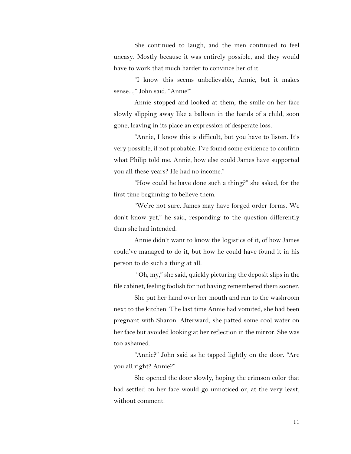She continued to laugh, and the men continued to feel uneasy. Mostly because it was entirely possible, and they would have to work that much harder to convince her of it.

"I know this seems unbelievable, Annie, but it makes sense...," John said. "Annie!"

Annie stopped and looked at them, the smile on her face slowly slipping away like a balloon in the hands of a child, soon gone, leaving in its place an expression of desperate loss.

"Annie, I know this is difficult, but you have to listen. It's very possible, if not probable. I've found some evidence to confirm what Philip told me. Annie, how else could James have supported you all these years? He had no income."

"How could he have done such a thing?" she asked, for the first time beginning to believe them.

"We're not sure. James may have forged order forms. We don't know yet," he said, responding to the question differently than she had intended.

Annie didn't want to know the logistics of it, of how James could've managed to do it, but how he could have found it in his person to do such a thing at all.

"Oh, my," she said, quickly picturing the deposit slips in the file cabinet, feeling foolish for not having remembered them sooner.

She put her hand over her mouth and ran to the washroom next to the kitchen. The last time Annie had vomited, she had been pregnant with Sharon. Afterward, she patted some cool water on her face but avoided looking at her reflection in the mirror. She was too ashamed.

"Annie?" John said as he tapped lightly on the door. "Are you all right? Annie?"

She opened the door slowly, hoping the crimson color that had settled on her face would go unnoticed or, at the very least, without comment.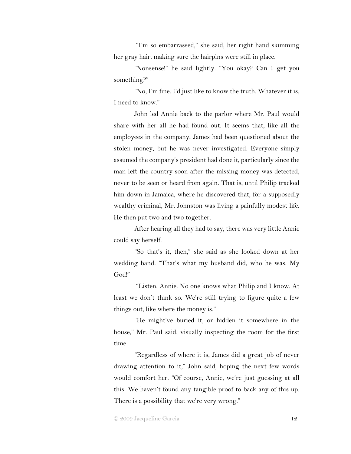"I'm so embarrassed," she said, her right hand skimming her gray hair, making sure the hairpins were still in place.

"Nonsense!" he said lightly. "You okay? Can I get you something?"

"No, I'm fine. I'd just like to know the truth. Whatever it is, I need to know."

John led Annie back to the parlor where Mr. Paul would share with her all he had found out. It seems that, like all the employees in the company, James had been questioned about the stolen money, but he was never investigated. Everyone simply assumed the company's president had done it, particularly since the man left the country soon after the missing money was detected, never to be seen or heard from again. That is, until Philip tracked him down in Jamaica, where he discovered that, for a supposedly wealthy criminal, Mr. Johnston was living a painfully modest life. He then put two and two together.

After hearing all they had to say, there was very little Annie could say herself.

"So that's it, then," she said as she looked down at her wedding band. "That's what my husband did, who he was. My God!"

"Listen, Annie. No one knows what Philip and I know. At least we don't think so. We're still trying to figure quite a few things out, like where the money is."

"He might've buried it, or hidden it somewhere in the house," Mr. Paul said, visually inspecting the room for the first time.

"Regardless of where it is, James did a great job of never drawing attention to it," John said, hoping the next few words would comfort her. "Of course, Annie, we're just guessing at all this. We haven't found any tangible proof to back any of this up. There is a possibility that we're very wrong."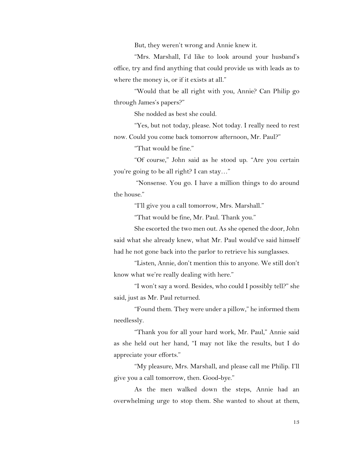But, they weren't wrong and Annie knew it.

"Mrs. Marshall, I'd like to look around your husband's office, try and find anything that could provide us with leads as to where the money is, or if it exists at all."

"Would that be all right with you, Annie? Can Philip go through James's papers?"

She nodded as best she could.

"Yes, but not today, please. Not today. I really need to rest now. Could you come back tomorrow afternoon, Mr. Paul?"

"That would be fine."

"Of course," John said as he stood up. "Are you certain you're going to be all right? I can stay…"

"Nonsense. You go. I have a million things to do around the house."

"I'll give you a call tomorrow, Mrs. Marshall."

"That would be fine, Mr. Paul. Thank you."

She escorted the two men out. As she opened the door, John said what she already knew, what Mr. Paul would've said himself had he not gone back into the parlor to retrieve his sunglasses.

"Listen, Annie, don't mention this to anyone. We still don't know what we're really dealing with here."

"I won't say a word. Besides, who could I possibly tell?" she said, just as Mr. Paul returned.

"Found them. They were under a pillow," he informed them needlessly.

"Thank you for all your hard work, Mr. Paul," Annie said as she held out her hand, "I may not like the results, but I do appreciate your efforts."

"My pleasure, Mrs. Marshall, and please call me Philip. I'll give you a call tomorrow, then. Good-bye."

As the men walked down the steps, Annie had an overwhelming urge to stop them. She wanted to shout at them,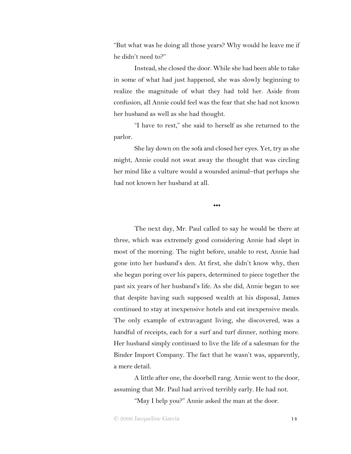"But what was he doing all those years? Why would he leave me if he didn't need to?"

Instead, she closed the door. While she had been able to take in some of what had just happened, she was slowly beginning to realize the magnitude of what they had told her. Aside from confusion, all Annie could feel was the fear that she had not known her husband as well as she had thought.

"I have to rest," she said to herself as she returned to the parlor.

She lay down on the sofa and closed her eyes. Yet, try as she might, Annie could not swat away the thought that was circling her mind like a vulture would a wounded animal–that perhaps she had not known her husband at all.

•••

The next day, Mr. Paul called to say he would be there at three, which was extremely good considering Annie had slept in most of the morning. The night before, unable to rest, Annie had gone into her husband's den. At first, she didn't know why, then she began poring over his papers, determined to piece together the past six years of her husband's life. As she did, Annie began to see that despite having such supposed wealth at his disposal, James continued to stay at inexpensive hotels and eat inexpensive meals. The only example of extravagant living, she discovered, was a handful of receipts, each for a surf and turf dinner, nothing more. Her husband simply continued to live the life of a salesman for the Binder Import Company. The fact that he wasn't was, apparently, a mere detail.

A little after one, the doorbell rang. Annie went to the door, assuming that Mr. Paul had arrived terribly early. He had not.

"May I help you?" Annie asked the man at the door.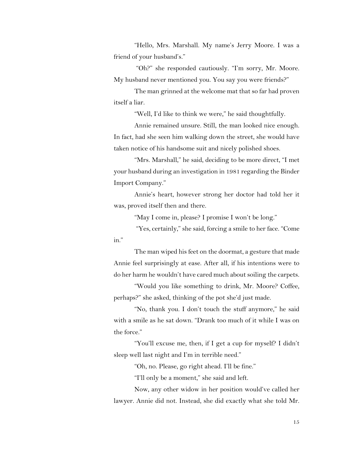"Hello, Mrs. Marshall. My name's Jerry Moore. I was a friend of your husband's."

"Oh?" she responded cautiously. "I'm sorry, Mr. Moore. My husband never mentioned you. You say you were friends?"

The man grinned at the welcome mat that so far had proven itself a liar.

"Well, I'd like to think we were," he said thoughtfully.

Annie remained unsure. Still, the man looked nice enough. In fact, had she seen him walking down the street, she would have taken notice of his handsome suit and nicely polished shoes.

"Mrs. Marshall," he said, deciding to be more direct, "I met your husband during an investigation in 1981 regarding the Binder Import Company."

Annie's heart, however strong her doctor had told her it was, proved itself then and there.

"May I come in, please? I promise I won't be long."

"Yes, certainly," she said, forcing a smile to her face. "Come in."

The man wiped his feet on the doormat, a gesture that made Annie feel surprisingly at ease. After all, if his intentions were to do her harm he wouldn't have cared much about soiling the carpets.

"Would you like something to drink, Mr. Moore? Coffee, perhaps?" she asked, thinking of the pot she'd just made.

"No, thank you. I don't touch the stuff anymore," he said with a smile as he sat down. "Drank too much of it while I was on the force."

"You'll excuse me, then, if I get a cup for myself? I didn't sleep well last night and I'm in terrible need."

"Oh, no. Please, go right ahead. I'll be fine."

"I'll only be a moment," she said and left.

Now, any other widow in her position would've called her lawyer. Annie did not. Instead, she did exactly what she told Mr.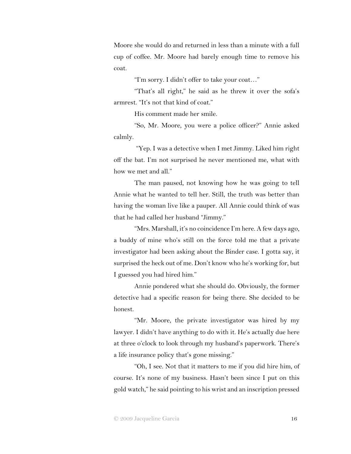Moore she would do and returned in less than a minute with a full cup of coffee. Mr. Moore had barely enough time to remove his coat.

"I'm sorry. I didn't offer to take your coat…"

"That's all right," he said as he threw it over the sofa's armrest. "It's not that kind of coat."

His comment made her smile.

"So, Mr. Moore, you were a police officer?" Annie asked calmly.

"Yep. I was a detective when I met Jimmy. Liked him right off the bat. I'm not surprised he never mentioned me, what with how we met and all."

The man paused, not knowing how he was going to tell Annie what he wanted to tell her. Still, the truth was better than having the woman live like a pauper. All Annie could think of was that he had called her husband "Jimmy."

"Mrs. Marshall, it's no coincidence I'm here. A few days ago, a buddy of mine who's still on the force told me that a private investigator had been asking about the Binder case. I gotta say, it surprised the heck out of me. Don't know who he's working for, but I guessed you had hired him."

Annie pondered what she should do. Obviously, the former detective had a specific reason for being there. She decided to be honest.

"Mr. Moore, the private investigator was hired by my lawyer. I didn't have anything to do with it. He's actually due here at three o'clock to look through my husband's paperwork. There's a life insurance policy that's gone missing."

"Oh, I see. Not that it matters to me if you did hire him, of course. It's none of my business. Hasn't been since I put on this gold watch," he said pointing to his wrist and an inscription pressed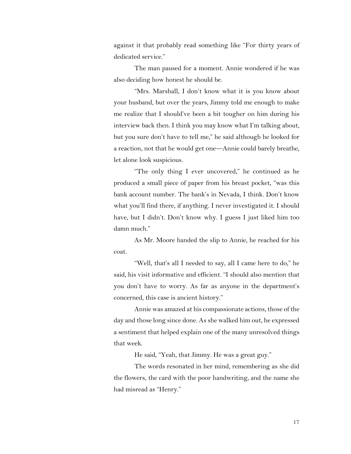against it that probably read something like "For thirty years of dedicated service."

The man paused for a moment. Annie wondered if he was also deciding how honest he should be.

"Mrs. Marshall, I don't know what it is you know about your husband, but over the years, Jimmy told me enough to make me realize that I should've been a bit tougher on him during his interview back then. I think you may know what I'm talking about, but you sure don't have to tell me," he said although he looked for a reaction, not that he would get one—Annie could barely breathe, let alone look suspicious.

"The only thing I ever uncovered," he continued as he produced a small piece of paper from his breast pocket, "was this bank account number. The bank's in Nevada, I think. Don't know what you'll find there, if anything. I never investigated it. I should have, but I didn't. Don't know why. I guess I just liked him too damn much."

As Mr. Moore handed the slip to Annie, he reached for his coat.

"Well, that's all I needed to say, all I came here to do," he said, his visit informative and efficient. "I should also mention that you don't have to worry. As far as anyone in the department's concerned, this case is ancient history."

Annie was amazed at his compassionate actions, those of the day and those long since done. As she walked him out, he expressed a sentiment that helped explain one of the many unresolved things that week.

He said, "Yeah, that Jimmy. He was a great guy."

The words resonated in her mind, remembering as she did the flowers, the card with the poor handwriting, and the name she had misread as "Henry."